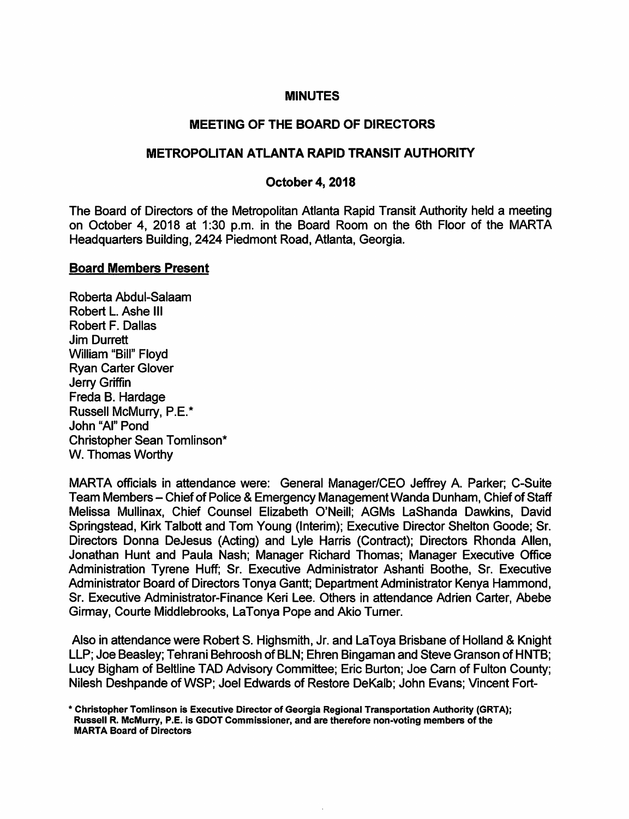#### **MINUTES**

## MEETING OF THE BOARD OF DIRECTORS

## METROPOLITAN ATLANTA RAPID TRANSIT AUTHORITY

#### October 4, 2018

The Board of Directors of the Metropolitan Atlanta Rapid Transit Authority held a meeting on October 4, 2018 at 1:30 p.m. in the Board Room on the 6th Floor of the MARTA Headquarters Building, 2424 Piedmont Road, Atlanta, Georgia.

## Board Members Present

Roberta Abdul-Salaam Robert L. Ashe III Robert F. Dallas Jim Durrett William "Bill" Floyd Ryan Carter Glover Jerry Griffin Freda B. Hardage Russell McMurry, P.E.\* John "Al" Pond Christopher Sean Tomlinson\* W. Thomas Worthy

MARTA officials in attendance were: General Manager/CEO Jeffrey A. Parker; C-Suite Team Members - Chief of Police & Emergency Management Wanda Dunham, Chief of Staff Melissa Mullinax, Chief Counsel Elizabeth O'Neill; AGMs LaShanda Dawkins, David Springstead, Kirk Talbott and Tom Young (Interim); Executive Director Shelton Goode; Sr. Directors Donna DeJesus (Acting) and Lyie Harris (Contract); Directors Rhonda Allen, Jonathan Hunt and Paula Mash; Manager Richard Thomas; Manager Executive Office Administration Tyrene Huff; Sr. Executive Administrator Ashanti Boothe, Sr. Executive Administrator Board of Directors Tonya Gantt; Department Administrator Kenya Hammond, Sr. Executive Administrator-Finance Keri Lee. Others in attendance Adrien Carter, Abebe Girmay, Courte Middlebrooks, LaTonya Pope and Akio Turner.

Also in attendance were Robert S. Highsmith, Jr. and LaToya Brisbane of Holland & Knight LLP; Joe Beasley; Tehrani Behroosh of BLN; Ehren Bingaman and Steve Granson of HNTB; Lucy Bigham of Beltline TAD Advisory Committee; Eric Burton; Joe Cam of Fulton County; Nilesh Deshpande of WSP; Joel Edwards of Restore DeKalb; John Evans; Vincent Fort-

<sup>\*</sup> Christopher Tomlinson Is Executive Director of Georgia Regional Transportation Authority (GRTA); Russell R. McMurry, P.E. Is GDOT Commissioner, and are therefore non-voting members of the MARTA Board of Directors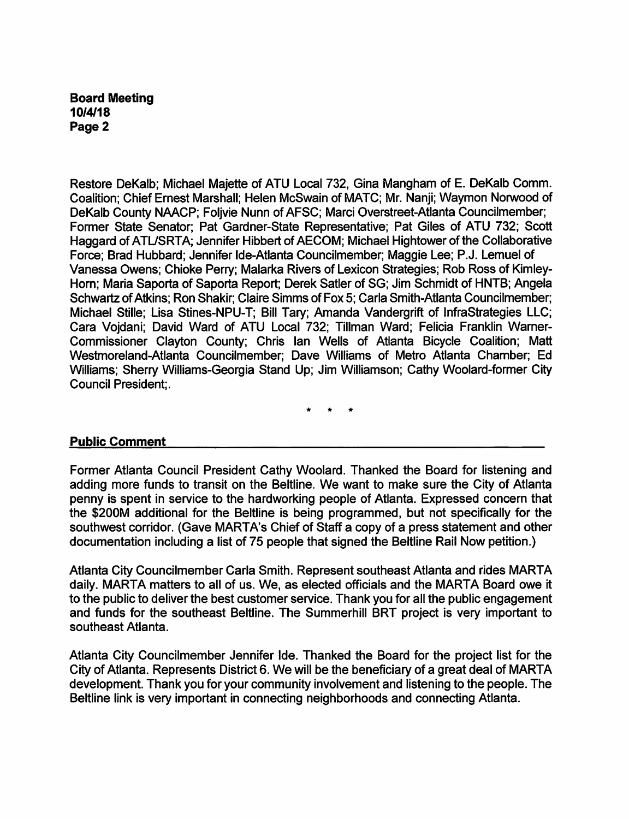Restore DeKalb; Michael Majette of ATU Local 732, Gina Mangham of E. DeKalb Comm. Coalition; Chief Ernest Marshall; Helen McSwain of MATC; Mr. Nanji; Waymon Norwood of DeKalb County NAACP; Foljvie Nunn of AFSC; Marci Overstreet-Atlanta Councilmember; Former State Senator; Pat Gardner-State Representative; Pat Giles of ATU 732; Scott Haggard of ATL/SRTA; Jennifer Hibbert of AECOM; Michael Hightower of the Collaborative Force; Brad Hubbard; Jennifer Ide-Atlanta Councilmember; Maggie Lee; P.J. Lemuel of Vanessa Owens; Chioke Perry; Malarka Rivers of Lexicon Strategies; Rob Ross of Kimley-Horn; Maria Saporta of Saporta Report; Derek Satler of SG; Jim Schmidt of HNTB; Angela Schwartz of Atkins; Ron Shakir; Claire Simms of Fox 5; Caria Smith-Atlanta Councilmember; Michael Stille; Lisa Stines-NPU-T; Bill Tary; Amanda Vandergrift of InfraStrategies LLC; Cara Vojdani; David Ward of ATU Local 732; Tillman Ward; Felicia Franklin Warner-Commissioner Clayton County; Chris Ian Wells of Atlanta Bicycle Coalition; Matt Westmoreland-Atlanta Councilmember; Dave Williams of Metro Atlanta Chamber; Ed Williams; Sherry Williams-Georgia Stand Up; Jim Williamson; Cathy Woolard-former City Council President;.

#### Public Comment

Former Atlanta Council President Cathy Woolard. Thanked the Board for listening and adding more funds to transit on the Beltline. We want to make sure the City of Atlanta penny is spent in service to the hardworking people of Atlanta. Expressed concern that the \$200M additional for the Beltline is being programmed, but not specifically for the southwest corridor. (Gave MARTA's Chief of Staff a copy of a press statement and other documentation including a list of 75 people that signed the Beltline Rail Now petition.)

Atlanta City Councilmember CarIa Smith. Represent southeast Atlanta and rides MARTA daily. MARTA matters to all of us. We, as elected officials and the MARTA Board owe it to the public to deliver the best customer service. Thank you for all the public engagement and funds for the southeast Beltline. The Summerhill BRT project is very important to southeast Atlanta.

Atlanta City Councilmember Jennifer Ide. Thanked the Board for the project list for the City of Atlanta. Represents District 6. We will be the beneficiary of a great deal of MARTA development. Thank you for your community involvement and listening to the people. The Beltline link is very important in connecting neighborhoods and connecting Atlanta.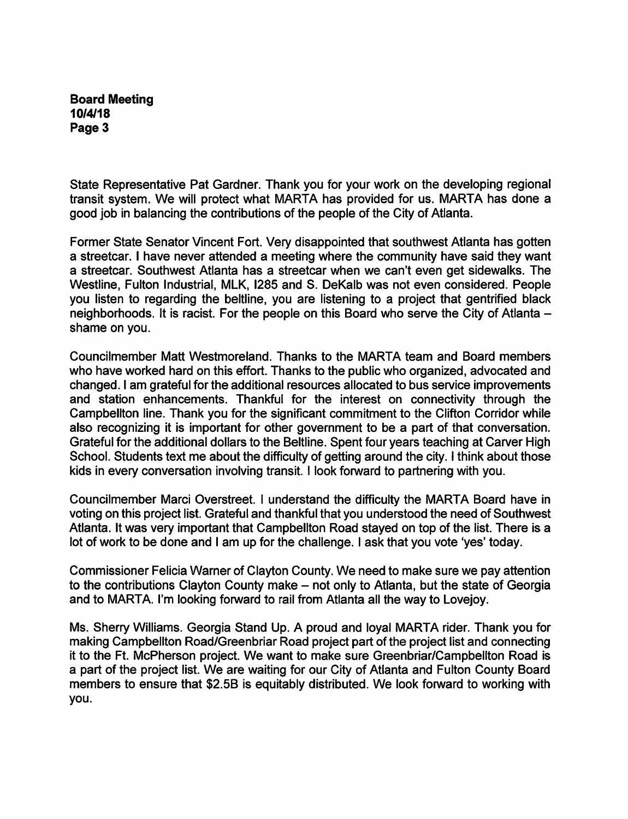State Representative Pat Gardner. Thank you for your work on the developing regional transit system. We will protect what MARTA has provided for us. MARTA has done a good job in balancing the contributions of the people of the City of Atlanta.

Former State Senator Vincent Fort. Very disappointed that southwest Atlanta has gotten a streetcar. I have never attended a meeting where the community have said they want a streetcar. Southwest Atlanta has a streetcar when we can't even get sidewalks. The Westline, Fulton Industrial, MLK, 1285 and S. DeKalb was not even considered. People you listen to regarding the beltline, you are listening to a project that gentrified black neighborhoods. It is racist. For the people on this Board who serve the City of Atlanta shame on you.

Councilmember Matt Westmoreland. Thanks to the MARTA team and Board members who have worked hard on this effort. Thanks to the public who organized, advocated and changed. I am grateful for the additional resources allocated to bus service improvements and station enhancements. Thankful for the interest on connectivity through the Campbellton line. Thank you for the significant commitment to the Clifton Corridor while also recognizing it is important for other government to be a part of that conversation. Grateful for the additional dollars to the Beltline. Spent four years teaching at Carver High School. Students text me about the difficulty of getting around the city. I think about those kids in every conversation involving transit. I look forward to partnering with you.

Councilmember Marci Overstreet. I understand the difficulty the MARTA Board have in voting on this project list. Grateful and thankful that you understood the need of Southwest Atlanta. It was very important that Campbellton Road stayed on top of the list. There is a lot of work to be done and I am up for the challenge. I ask that you vote 'yes' today.

Commissioner Felicia Warner of Clayton County. We need to make sure we pay attention to the contributions Clayton County make - not only to Atlanta, but the state of Georgia and to MARTA. I'm looking fonward to rail from Atlanta all the way to Lovejoy.

Ms. Sherry Williams. Georgia Stand Up. A proud and loyal MARTA rider. Thank you for making Campbellton Road/Greenbriar Road project part of the project list and connecting it to the Ft. McPherson project. We want to make sure Greenbriar/Campbellton Road is a part of the project list. We are waiting for our City of Atlanta and Fulton County Board members to ensure that \$2.5B is equitably distributed. We look forward to working with you.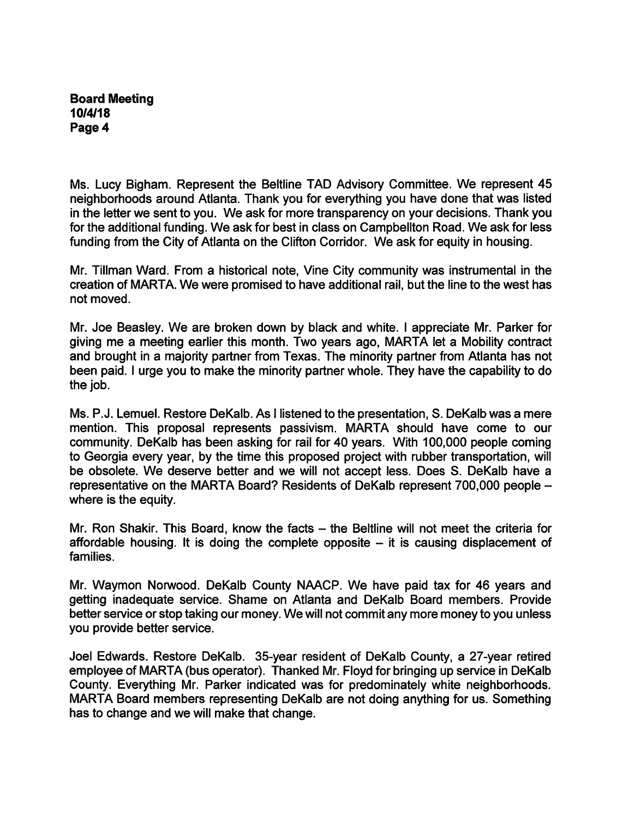Ms. Lucy Bigham. Represent the Beltline TAD Advisory Committee. We represent 45 neighborhoods around Atlanta. Thank you for everything you have done that was listed in the letter we sent to you. We ask for more transparency on your decisions. Thank you for the additional funding. We ask for best in class on Campbellton Road. We ask for less funding from the City of Atlanta on the Clifton Corridor. We ask for equity in housing.

Mr. Tillman Ward. From a historical note, Vine City community was instrumental in the creation of MARTA. We were promised to have additional rail, but the line to the west has not moved.

Mr. Joe Beasley. We are broken down by black and white. I appreciate Mr. Parker for giving me a meeting earlier this month. Two years ago, MARTA let a Mobility contract and brought in a majority partner from Texas. The minority partner from Atlanta has not been paid. I urge you to make the minority partner whole. They have the capability to do the job.

Ms. P. J. Lemuel. Restore DeKalb. As I listened to the presentation, S. DeKalb was a mere mention. This proposal represents passivism. MARTA should have come to our community. DeKalb has been asking for rail for 40 years. With 100,000 people coming to Georgia every year, by the time this proposed project with rubber transportation, will be obsolete. We deserve better and we will not accept less. Does S. DeKalb have a representative on the MARTA Board? Residents of DeKalb represent 700,000 people where is the equity.

Mr. Ron Shakir. This Board, know the facts – the Beltline will not meet the criteria for affordable housing. It is doing the complete opposite  $-$  it is causing displacement of families.

Mr. Waymon Norwood. DeKalb County NAACP. We have paid tax for 46 years and getting inadequate service. Shame on Atlanta and DeKalb Board members. Provide better service or stop taking our money. We will not commit any more money to you unless you provide better service.

Joel Edwards. Restore DeKalb. 35-year resident of DeKalb County, a 27-year retired employee of MARTA (bus operator). Thanked Mr. Floyd for bringing up service in DeKalb County. Everything Mr. Parker indicated was for predominately white neighborhoods. MARTA Board members representing DeKalb are not doing anything for us. Something has to change and we will make that change.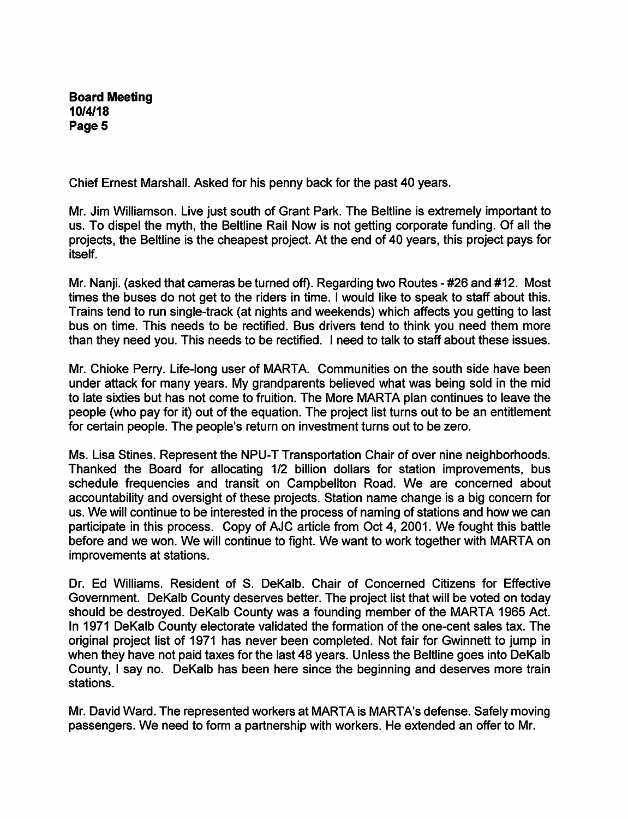Chief Ernest Marshall. Asked for his penny back for the past 40 years.

Mr. Jim Williamson. Live just south of Grant Park. The Beltline is extremely important to us. To dispel the myth, the Beltline Rail Now is not getting corporate funding. Of all the projects, the Beltline is the cheapest project. At the end of 40 years, this project pays for itself.

Mr. Nanji. (asked that cameras be turned off). Regarding two Routes - #26 and #12. Most times the buses do not get to the riders in time. I would like to speak to staff about this. Trains tend to run single-track (at nights and weekends) which affects you getting to last bus on time. This needs to be rectified. Bus drivers tend to think you need them more than they need you. This needs to be rectified. I need to talk to staff about these issues.

Mr. Chioke Perry. Life-long user of MARTA. Communities on the south side have been under attack for many years. My grandparents believed what was being sold in the mid to late sixties but has not come to fruition. The More MARTA plan continues to leave the people (who pay for it) out of the equation. The project list turns out to be an entitlement for certain people. The people's return on investment turns out to be zero.

Ms. Lisa Stines. Represent the NPU-T Transportation Chair of over nine neighborhoods. Thanked the Board for allocating 1/2 billion dollars for station improvements, bus schedule frequencies and transit on Campbellton Road. We are concerned about accountability and oversight of these projects. Station name change is a big concern for us. We will continue to be interested in the process of naming of stations and how we can participate in this process. Copy of AJC article from Oct 4, 2001. We fought this battle before and we won. We will continue to fight. We want to work together with MARTA on improvements at stations.

Dr. Ed Williams. Resident of 8. DeKalb. Chair of Concerned Citizens for Effective Government. DeKalb County deserves better. The project list that will be voted on today should be destroyed. DeKalb County was a founding member of the MARTA 1965 Act. In 1971 DeKalb County electorate validated the formation of the one-cent sales tax. The original project list of 1971 has never been completed. Not fair for Gwinnett to jump in when they have not paid taxes for the last 48 years. Unless the Beltline goes into DeKalb County, I say no. DeKalb has been here since the beginning and deserves more train stations.

Mr. David Ward. The represented workers at MARTA is MARTA's defense. Safely moving passengers. We need to form a partnership with workers. He extended an offer to Mr.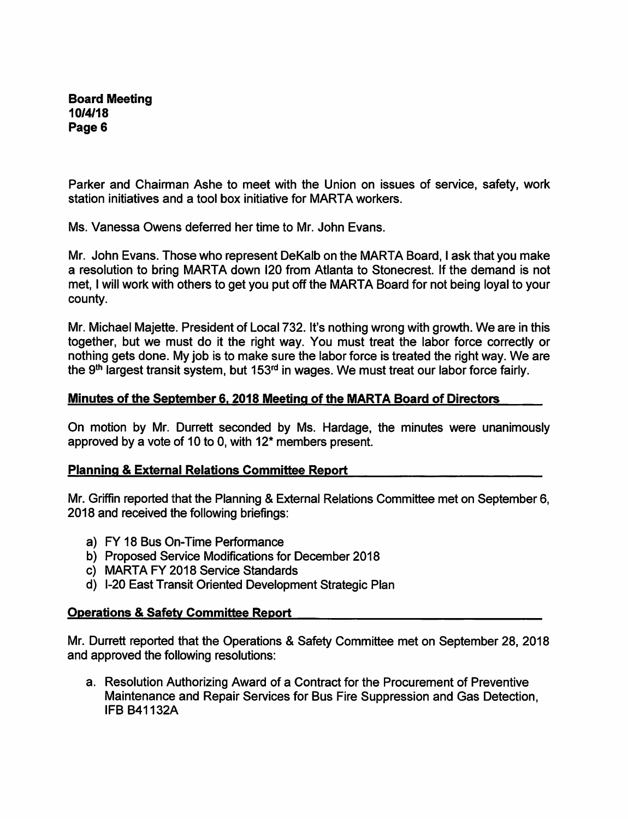Parker and Chairman Ashe to meet with the Union on issues of service, safety, work station initiatives and a tool box initiative for MARTA workers.

Ms. Vanessa Owens deferred her time to Mr. John Evans.

Mr. John Evans. Those who represent DeKalb on the MARTA Board, I ask that you make a resolution to bring MARTA down 120 from Atlanta to Stonecrest. If the demand is not met, I will work with others to get you put off the MARTA Board for not being loyal to your county.

Mr. Michael Majette. President of Local 732. It's nothing wrong with growth. We are in this together, but we must do it the right way. You must treat the labor force correctly or nothing gets done. My job is to make sure the labor force is treated the right way. We are the 9<sup>th</sup> largest transit system, but  $153<sup>rd</sup>$  in wages. We must treat our labor force fairly.

## Minutes of the September 6.2018 Meeting of the MARTA Board of Directors

On motion by Mr. Durrett seconded by Ms. Hardage, the minutes were unanimously approved by a vote of 10 to 0, with 12\* members present.

# Planning & External Relations Committee Report

Mr. Griffin reported that the Planning & External Relations Committee met on September 6, 2018 and received the following briefings:

- a) FY 18 Bus On-Time Performance
- b) Proposed Service Modifications for December 2018
- c) MARTA FY 2018 Service Standards
- d) 1-20 East Transit Oriented Development Strategic Plan

#### Operations & Safety Committee Report

Mr. Durrett reported that the Operations & Safety Committee met on September 28, 2018 and approved the following resolutions:

a. Resolution Authorizing Award of a Contract for the Procurement of Preventive Maintenance and Repair Services for Bus Fire Suppression and Gas Detection, IFB B41132A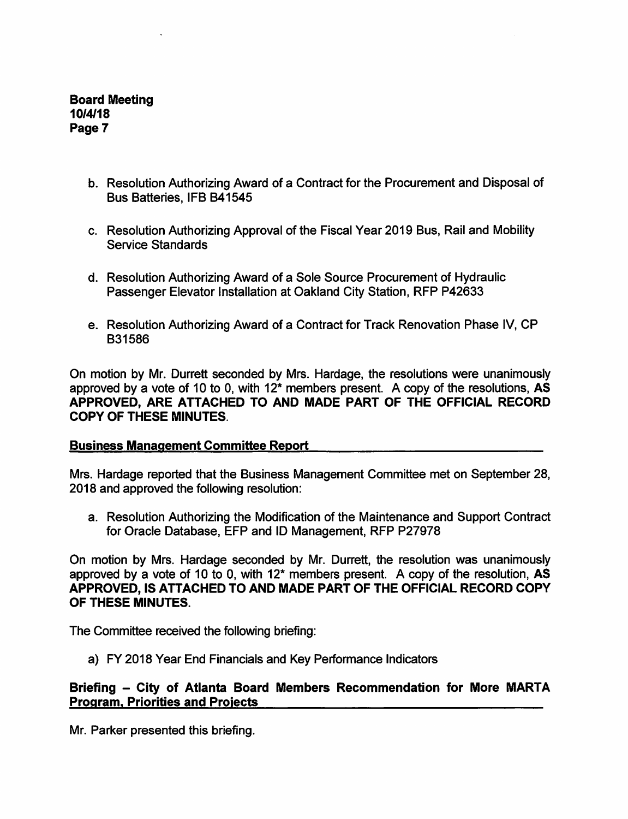- b. Resolution Authorizing Award of a Contract for the Procurement and Disposal of Bus Batteries, IFB B41545
- c. Resolution Authorizing Approval of the Fiscal Year 2019 Bus, Rail and Mobility Service Standards
- d. Resolution Authorizing Award of a Sole Source Procurement of Hydraulic Passenger Elevator Installation at Oakland City Station, RFP P42633
- e. Resolution Authorizing Award of a Contract for Track Renovation Phase IV, CP B31586

On motion by Mr. Durrett seconded by Mrs. Hardage, the resolutions were unanimously approved by a vote of 10 to 0, with  $12^*$  members present. A copy of the resolutions,  $\overrightarrow{AS}$ APPROVED, ARE ATTACHED TO AND MADE PART OF THE OFFICIAL RECORD COPY OF THESE MINUTES.

# Business Management Committee Report

Mrs. Hardage reported that the Business Management Committee met on September 28, 2018 and approved the following resolution:

a. Resolution Authorizing the Modification of the Maintenance and Support Contract for Oracle Database, EFP and ID Management, RFP P27978

On motion by Mrs. Hardage seconded by Mr. Durrett, the resolution was unanimously approved by a vote of 10 to 0, with 12\* members present. A copy of the resolution, AS APPROVED, IS ATTACHED TO AND MADE PART OF THE OFFICIAL RECORD COPY OF THESE MINUTES.

The Committee received the following briefing:

a) FY 2018 Year End Financials and Key Performance Indicators

# Briefing - City of Atlanta Board Members Recommendation for More MARTA Program. Priorities and Proiects

Mr. Parker presented this briefing.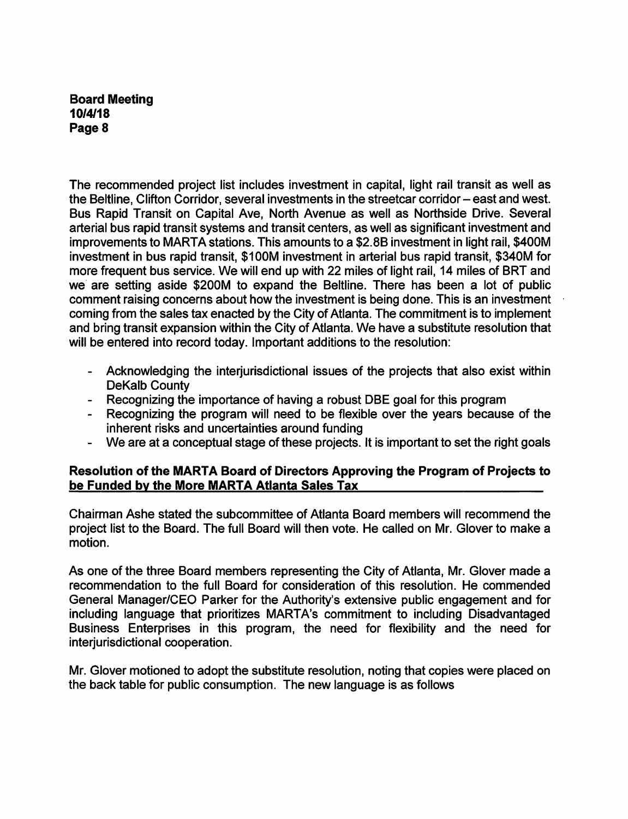The recommended project list includes investment in capital, light rail transit as well as the Beltline, Clifton Corridor, several investments in the streetcar corridor – east and west. Bus Rapid Transit on Capital Ave, North Avenue as well as Northside Drive. Several arterial bus rapid transit systems and transit centers, as well as significant investment and improvements to MARTA stations. This amounts to a \$2.8B investment in light rail, \$400M investment in bus rapid transit, \$100M investment in arterial bus rapid transit, \$340M for more frequent bus service. We will end up with 22 miles of light rail, 14 miles of BRT and we are setting aside \$200M to expand the Beltline. There has been a lot of public comment raising concerns about how the investment is being done. This is an investment coming from the sales tax enacted by the City of Atlanta. The commitment is to implement and bring transit expansion within the City of Atlanta. We have a substitute resolution that will be entered into record today. Important additions to the resolution:

- Acknowledging the interjurisdictional issues of the projects that also exist within DeKalb County
- Recognizing the importance of having a robust DBE goal for this program
- Recognizing the program will need to be flexible over the years because of the inherent risks and uncertainties around funding
- We are at a conceptual stage of these projects. It is important to set the right goals

# Resolution of the MARTA Board of Directors Approving the Program of Projects to be Funded bv the More MARTA Atianta Sales Tax

Chairman Ashe stated the subcommittee of Atlanta Board members will recommend the project list to the Board. The full Board will then vote. He called on Mr. Glover to make a motion.

As one of the three Board members representing the City of Atlanta, Mr. Glover made a recommendation to the full Board for consideration of this resolution. He commended General Manager/CEO Parker for the Authority's extensive public engagement and for including language that prioritizes MARTA's commitment to including Disadvantaged Business Enterprises in this program, the need for flexibility and the need for interjurisdictional cooperation.

Mr. Glover motioned to adopt the substitute resolution, noting that copies were placed on the back table for public consumption. The new language is as follows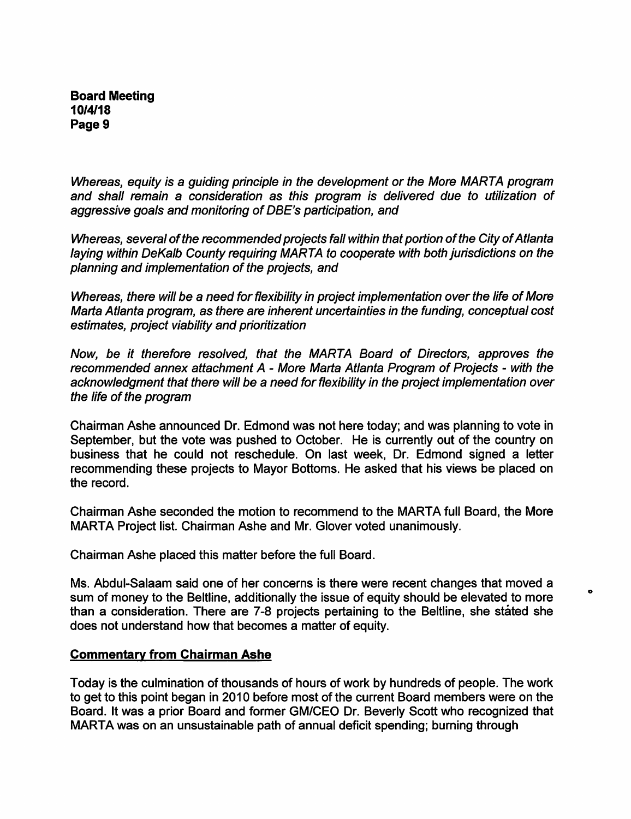Whereas, equity is a guiding principle in the development or the More MARTA program and shall remain a consideration as this program is delivered due to utilization of aggressive goals and monitoring of DBE's participation, and

Whereas, several of the recommended projects fall within that portion of the City of Atlanta laying within DeKalb County requiring MARTA to cooperate with both jurisdictions on the planning and implementation of the projects, and

Whereas, there will be a need for flexibility in project implementation over the life of More Marta Atlanta program, as there are inherent uncertainties in the funding, conceptual cost estimates, project viability and prioritization

Now, be it therefore resolved, that the MARTA Board of Directors, approves the recommended annex attachment A - More Marta Atlanta Program of Projects - with the acknowledgment that there will be a need for flexibility in the project implementation over the life of the program

Chairman Ashe announced Dr. Edmond was not here today; and was planning to vote in September, but the vote was pushed to October. He is currently out of the country on business that he could not reschedule. On last week, Dr. Edmond signed a letter recommending these projects to Mayor Bottoms. He asked that his views be placed on the record.

Chairman Ashe seconded the motion to recommend to the MARTA full Board, the More MARTA Project list. Chairman Ashe and Mr. Glover voted unanimously.

Chairman Ashe placed this matter before the full Board.

Ms. Abdul-Salaam said one of her concerns is there were recent changes that moved a sum of money to the Beltline, additionally the issue of equity should be elevated to more than a consideration. There are 7-8 projects pertaining to the Beltline, she stated she does not understand how that becomes a matter of equity.

 $\bullet$ 

#### Commentarv from Chairman Ashe

Today is the culmination of thousands of hours of work by hundreds of people. The work to get to this point began in 2010 before most of the current Board members were on the Board. It was a prior Board and former GM/CEO Dr. Beverly Scott who recognized that MARTA was on an unsustainable path of annual deficit spending; burning through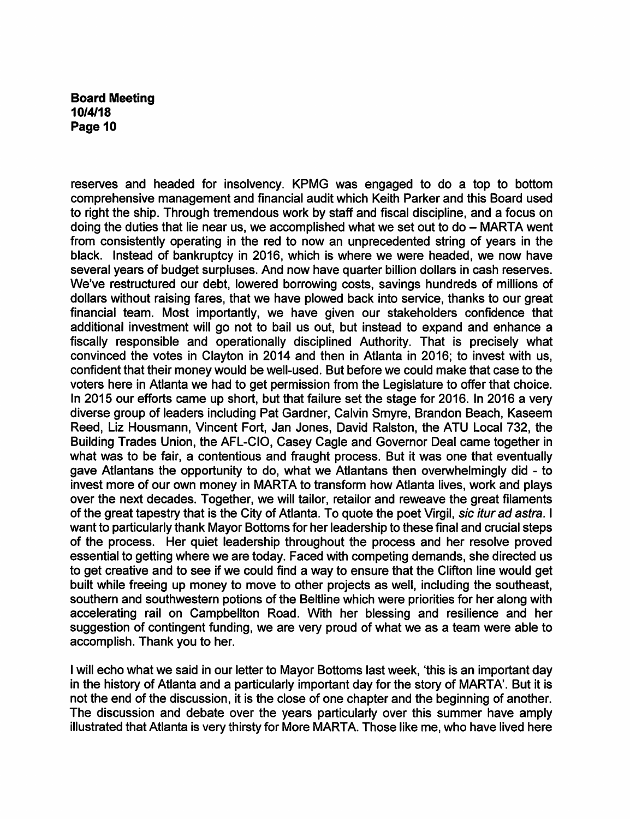reserves and headed for insolvency. KPMG was engaged to do a top to bottom comprehensive management and financial audit which Keith Parker and this Board used to right the ship. Through tremendous work by staff and fiscal discipline, and a focus on doing the duties that lie near us, we accomplished what we set out to  $do - MARTA$  went from consistently operating in the red to now an unprecedented string of years in the black. Instead of bankruptcy in 2016, which is where we were headed, we now have several years of budget surpluses. And now have quarter billion dollars in cash reserves. We've restructured our debt, lowered borrowing costs, savings hundreds of millions of dollars without raising fares, that we have plowed back into service, thanks to our great financial team. Most importantly, we have given our stakeholders confidence that additional investment will go not to bail us out, but instead to expand and enhance a fiscally responsible and operationally disciplined Authority. That is precisely what convinced the votes in Clayton in 2014 and then in Atlanta in 2016; to invest with us, confident that their money would be well-used. But before we could make that case to the voters here in Atlanta we had to get permission from the Legislature to offer that choice. In 2015 our efforts came up short, but that failure set the stage for 2016. In 2016 a very diverse group of leaders including Pat Gardner, Calvin Smyre, Brandon Beach, Kaseem Reed, Liz Housmann, Vincent Fort, Jan Jones, David Ralston, the ATU Local 732, the Building Trades Union, the AFL-CIO, Casey Cagle and Governor Deal came together in what was to be fair, a contentious and fraught process. But it was one that eventually gave Atlantans the opportunity to do, what we Atlantans then overwhelmingly did - to invest more of our own money in MARTA to transform how Atlanta lives, work and plays over the next decades. Together, we will tailor, retailor and reweave the great filaments of the great tapestry that is the City of Atlanta. To quote the poet Virgil, sic itur ad astra. I want to particularly thank Mayor Bottoms for her leadership to these final and crucial steps of the process. Her quiet leadership throughout the process and her resolve proved essential to getting where we are today. Faced with competing demands, she directed us to get creative and to see if we could find a way to ensure that the Clifton line would get built while freeing up money to move to other projects as well, including the southeast, southern and southwestern potions of the Beltline which were priorities for her along with accelerating rail on Campbellton Road. With her blessing and resilience and her suggestion of contingent funding, we are very proud of what we as a team were able to accomplish. Thank you to her.

I will echo what we said in our letter to Mayor Bottoms last week, 'this is an important day in the history of Atlanta and a particularly important day for the story of MARTA'. But it is not the end of the discussion, it is the close of one chapter and the beginning of another. The discussion and debate over the years particularly over this summer have amply illustrated that Atlanta is very thirsty for More MARTA. Those like me, who have lived here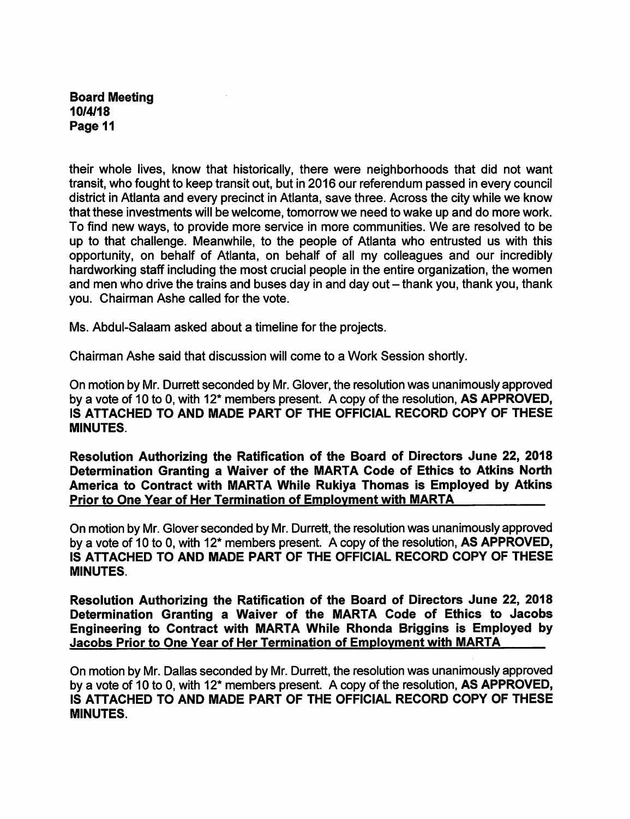their whole lives, know that historically, there were neighborhoods that did not want transit, who fought to keep transit out, but in 2016 our referendum passed in every council district in Atlanta and every precinct in Atlanta, save three. Across the city while we know that these investments will be welcome, tomorrow we need to wake up and do more work. To find new ways, to provide more service in more communities. We are resolved to be up to that challenge. Meanwhile, to the people of Atlanta who entrusted us with this opportunity, on behalf of Atlanta, on behalf of all my colleagues and our incredibly hardworking staff including the most crucial people in the entire organization, the women and men who drive the trains and buses day in and day out - thank you, thank you, thank you. Chairman Ashe called for the vote.

Ms. Abdul-Salaam asked about a timeline for the projects.

Chairman Ashe said that discussion will come to a Work Session shortly.

On motion by Mr. Durrett seconded by Mr. Glover, the resolution was unanimously approved by a vote of 10 to 0, with 12\* members present. A copy of the resolution, AS APPROVED, IS ATTACHED TO AND MADE PART OF THE OFFICIAL RECORD COPY OF THESE MINUTES.

Resolution Authorizing the Ratification of the Board of Directors June 22, 2018 Determination Granting a Waiver of the MARTA Code of Ethics to Atkins North America to Contract with MARTA While Rukiya Thomas is Employed by Atkins Prior to One Year of Her Termination of Employment with MARTA

On motion by Mr. Glover seconded by Mr. Durrett, the resolution was unanimously approved by a vote of 10 to 0, with 12\* members present. A copy of the resolution, AS APPROVED, IS ATTACHED TO AND MADE PART OF THE OFFICIAL RECORD COPY OF THESE MINUTES.

Resolution Authorizing the Ratification of the Board of Directors June 22, 2018 Determination Granting a Waiver of the MARTA Code of Ethics to Jacobs Engineering to Contract with MARTA While Rhonda Briggins is Employed by Jacobs Prior to One Year of Her Termination of Employment with MARTA

On motion by Mr. Dallas seconded by Mr. Durrett, the resolution was unanimously approved by a vote of 10 to 0, with 12\* members present. A copy of the resolution, AS APPROVED, IS ATTACHED TO AND MADE PART OF THE OFFICIAL RECORD COPY OF THESE MINUTES.